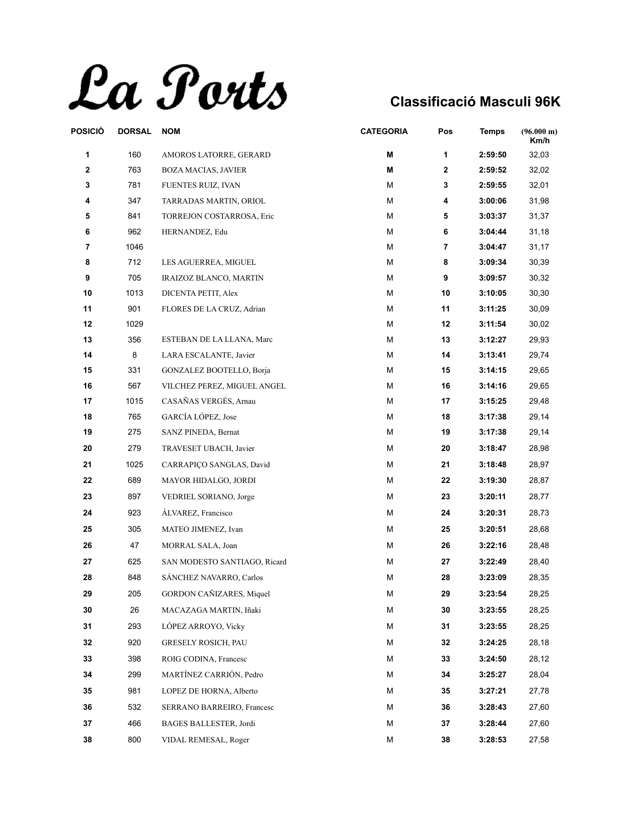

| POSICIÓ | <b>DORSAL</b> | <b>NOM</b>                   | <b>CATEGORIA</b> | Pos          | <b>Temps</b> | $(96.000 \text{ m})$<br>Km/h |
|---------|---------------|------------------------------|------------------|--------------|--------------|------------------------------|
| 1       | 160           | AMOROS LATORRE, GERARD       | M                | 1            | 2:59:50      | 32,03                        |
| 2       | 763           | BOZA MACIAS, JAVIER          | M                | $\mathbf{2}$ | 2:59:52      | 32,02                        |
| 3       | 781           | FUENTES RUIZ, IVAN           | М                | 3            | 2:59:55      | 32,01                        |
| 4       | 347           | TARRADAS MARTIN, ORIOL       | М                | 4            | 3:00:06      | 31,98                        |
| 5       | 841           | TORREJON COSTARROSA, Eric    | М                | 5            | 3:03:37      | 31,37                        |
| 6       | 962           | HERNANDEZ, Edu               | М                | 6            | 3:04:44      | 31,18                        |
| 7       | 1046          |                              | М                | 7            | 3:04:47      | 31,17                        |
| 8       | 712           | LES AGUERREA, MIGUEL         | М                | 8            | 3:09:34      | 30,39                        |
| 9       | 705           | IRAIZOZ BLANCO, MARTIN       | М                | 9            | 3:09:57      | 30,32                        |
| 10      | 1013          | DICENTA PETIT, Alex          | M                | 10           | 3:10:05      | 30,30                        |
| 11      | 901           | FLORES DE LA CRUZ, Adrian    | M                | 11           | 3:11:25      | 30,09                        |
| 12      | 1029          |                              | М                | 12           | 3:11:54      | 30,02                        |
| 13      | 356           | ESTEBAN DE LA LLANA, Marc    | М                | 13           | 3:12:27      | 29,93                        |
| 14      | 8             | LARA ESCALANTE, Javier       | M                | 14           | 3:13:41      | 29,74                        |
| 15      | 331           | GONZALEZ BOOTELLO, Borja     | M                | 15           | 3:14:15      | 29,65                        |
| 16      | 567           | VILCHEZ PEREZ, MIGUEL ANGEL  | М                | 16           | 3:14:16      | 29,65                        |
| 17      | 1015          | CASAÑAS VERGÉS, Arnau        | М                | 17           | 3:15:25      | 29,48                        |
| 18      | 765           | GARCÍA LÓPEZ, Jose           | M                | 18           | 3:17:38      | 29,14                        |
| 19      | 275           | SANZ PINEDA, Bernat          | M                | 19           | 3:17:38      | 29,14                        |
| 20      | 279           | TRAVESET UBACH, Javier       | M                | 20           | 3:18:47      | 28,98                        |
| 21      | 1025          | CARRAPIÇO SANGLAS, David     | M                | 21           | 3:18:48      | 28,97                        |
| 22      | 689           | MAYOR HIDALGO, JORDI         | M                | 22           | 3:19:30      | 28,87                        |
| 23      | 897           | VEDRIEL SORIANO, Jorge       | М                | 23           | 3:20:11      | 28,77                        |
| 24      | 923           | ÁLVAREZ, Francisco           | M                | 24           | 3:20:31      | 28,73                        |
| 25      | 305           | MATEO JIMENEZ, Ivan          | M                | 25           | 3:20:51      | 28,68                        |
| 26      | 47            | MORRAL SALA, Joan            | M                | 26           | 3:22:16      | 28,48                        |
| 27      | 625           | SAN MODESTO SANTIAGO, Ricard | М                | 27           | 3:22:49      | 28,40                        |
| 28      | 848           | SÁNCHEZ NAVARRO, Carlos      | M                | 28           | 3:23:09      | 28,35                        |
| 29      | 205           | GORDON CAÑIZARES, Miquel     | M                | 29           | 3:23:54      | 28,25                        |
| 30      | 26            | MACAZAGA MARTIN, Iñaki       | M                | 30           | 3:23:55      | 28,25                        |
| 31      | 293           | LÓPEZ ARROYO, Vicky          | М                | 31           | 3:23:55      | 28,25                        |
| 32      | 920           | <b>GRESELY ROSICH, PAU</b>   | М                | 32           | 3:24:25      | 28,18                        |
| 33      | 398           | ROIG CODINA, Francesc        | М                | 33           | 3:24:50      | 28,12                        |
| 34      | 299           | MARTÍNEZ CARRIÓN, Pedro      | M                | 34           | 3:25:27      | 28,04                        |
| 35      | 981           | LOPEZ DE HORNA, Alberto      | М                | 35           | 3:27:21      | 27,78                        |
| 36      |               |                              | м                | 36           |              |                              |
|         | 532           | SERRANO BARREIRO, Francesc   |                  |              | 3:28:43      | 27,60                        |
| 37      | 466           | BAGES BALLESTER, Jordi       | М                | 37           | 3:28:44      | 27,60                        |
| 38      | 800           | VIDAL REMESAL, Roger         | M                | 38           | 3:28:53      | 27,58                        |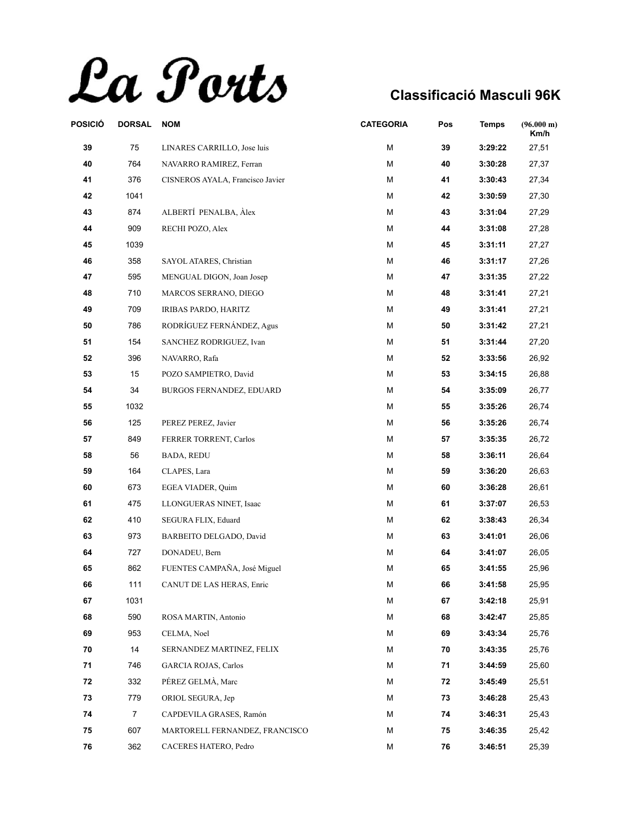La Ports

| POSICIÓ | <b>DORSAL</b>  | <b>NOM</b>                       | <b>CATEGORIA</b> | Pos | <b>Temps</b> | (96.000 m)<br>Km/h |
|---------|----------------|----------------------------------|------------------|-----|--------------|--------------------|
| 39      | ${\bf 75}$     | LINARES CARRILLO, Jose luis      | M                | 39  | 3:29:22      | 27,51              |
| 40      | 764            | NAVARRO RAMIREZ, Ferran          | М                | 40  | 3:30:28      | 27,37              |
| 41      | 376            | CISNEROS AYALA, Francisco Javier | M                | 41  | 3:30:43      | 27,34              |
| 42      | 1041           |                                  | М                | 42  | 3:30:59      | 27,30              |
| 43      | 874            | ALBERTÍ PENALBA, Àlex            | M                | 43  | 3:31:04      | 27,29              |
| 44      | 909            | RECHI POZO, Alex                 | М                | 44  | 3:31:08      | 27,28              |
| 45      | 1039           |                                  | М                | 45  | 3:31:11      | 27,27              |
| 46      | 358            | SAYOL ATARES, Christian          | M                | 46  | 3:31:17      | 27,26              |
| 47      | 595            | MENGUAL DIGON, Joan Josep        | М                | 47  | 3:31:35      | 27,22              |
| 48      | 710            | MARCOS SERRANO, DIEGO            | М                | 48  | 3:31:41      | 27,21              |
| 49      | 709            | IRIBAS PARDO, HARITZ             | M                | 49  | 3:31:41      | 27,21              |
| 50      | 786            | RODRÍGUEZ FERNÁNDEZ, Agus        | M                | 50  | 3:31:42      | 27,21              |
| 51      | 154            | SANCHEZ RODRIGUEZ, Ivan          | M                | 51  | 3:31:44      | 27,20              |
| 52      | 396            | NAVARRO, Rafa                    | м                | 52  | 3:33:56      | 26,92              |
| 53      | 15             | POZO SAMPIETRO, David            | М                | 53  | 3:34:15      | 26,88              |
| 54      | 34             | BURGOS FERNANDEZ, EDUARD         | M                | 54  | 3:35:09      | 26,77              |
| 55      | 1032           |                                  | M                | 55  | 3:35:26      | 26,74              |
| 56      | 125            | PEREZ PEREZ, Javier              | М                | 56  | 3:35:26      | 26,74              |
| 57      | 849            | FERRER TORRENT, Carlos           | M                | 57  | 3:35:35      | 26,72              |
| 58      | 56             | <b>BADA, REDU</b>                | М                | 58  | 3:36:11      | 26,64              |
| 59      | 164            | CLAPES, Lara                     | M                | 59  | 3:36:20      | 26,63              |
| 60      | 673            | EGEA VIADER, Quim                | М                | 60  | 3:36:28      | 26,61              |
| 61      | 475            | LLONGUERAS NINET, Isaac          | M                | 61  | 3:37:07      | 26,53              |
| 62      | 410            | SEGURA FLIX, Eduard              | M                | 62  | 3:38:43      | 26,34              |
| 63      | 973            | BARBEITO DELGADO, David          | М                | 63  | 3:41:01      | 26,06              |
| 64      | 727            | DONADEU, Bern                    | М                | 64  | 3:41:07      | 26,05              |
| 65      | 862            | FUENTES CAMPAÑA, José Miguel     | М                | 65  | 3:41:55      | 25,96              |
| 66      | 111            | CANUT DE LAS HERAS, Enric        | М                | 66  | 3:41:58      | 25,95              |
| 67      | 1031           |                                  | M                | 67  | 3:42:18      | 25,91              |
| 68      | 590            | ROSA MARTIN, Antonio             | м                | 68  | 3:42:47      | 25,85              |
| 69      | 953            | CELMA, Noel                      | м                | 69  | 3:43:34      | 25,76              |
| 70      | 14             | SERNANDEZ MARTINEZ, FELIX        | м                | 70  | 3:43:35      | 25,76              |
| 71      | 746            | <b>GARCIA ROJAS, Carlos</b>      | M                | 71  | 3:44:59      | 25,60              |
| 72      | 332            | PÉREZ GELMÀ, Marc                | М                | 72  | 3:45:49      | 25,51              |
| 73      | 779            | ORIOL SEGURA, Jep                | м                | 73  | 3:46:28      | 25,43              |
| 74      | $\overline{7}$ | CAPDEVILA GRASES, Ramón          | м                | 74  | 3:46:31      | 25,43              |
| 75      | 607            | MARTORELL FERNANDEZ, FRANCISCO   | М                | 75  | 3:46:35      | 25,42              |
| 76      | 362            | CACERES HATERO, Pedro            | М                | 76  | 3:46:51      | 25,39              |
|         |                |                                  |                  |     |              |                    |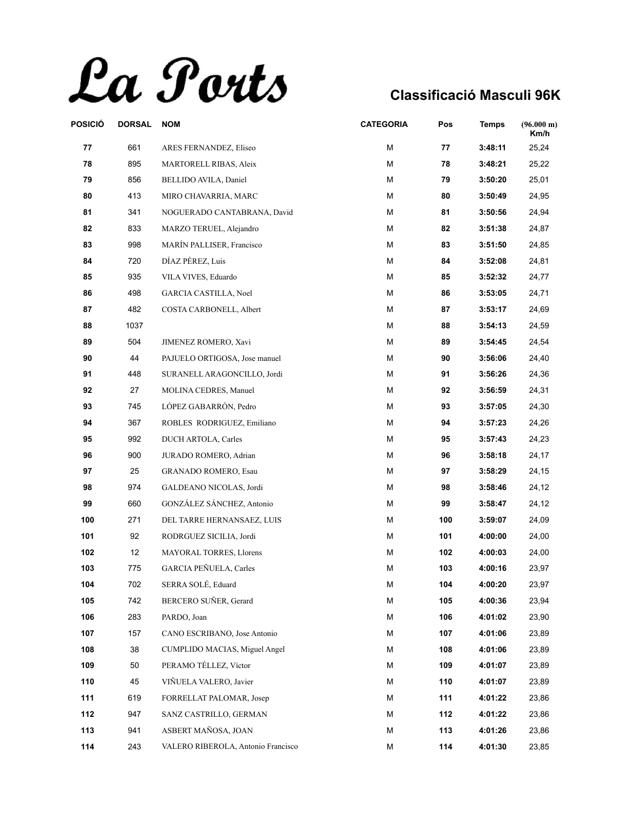La Ports

| POSICIÓ | <b>DORSAL</b> | <b>NOM</b>                         | <b>CATEGORIA</b> | Pos | <b>Temps</b> | $(96.000 \text{ m})$<br>Km/h |
|---------|---------------|------------------------------------|------------------|-----|--------------|------------------------------|
| 77      | 661           | ARES FERNANDEZ, Eliseo             | Μ                | 77  | 3:48:11      | 25,24                        |
| 78      | 895           | <b>MARTORELL RIBAS, Aleix</b>      | М                | 78  | 3:48:21      | 25,22                        |
| 79      | 856           | BELLIDO AVILA, Daniel              | М                | 79  | 3:50:20      | 25,01                        |
| 80      | 413           | MIRO CHAVARRIA, MARC               | Μ                | 80  | 3:50:49      | 24,95                        |
| 81      | 341           | NOGUERADO CANTABRANA, David        | Μ                | 81  | 3:50:56      | 24,94                        |
| 82      | 833           | MARZO TERUEL, Alejandro            | М                | 82  | 3:51:38      | 24,87                        |
| 83      | 998           | MARÍN PALLISER, Francisco          | Μ                | 83  | 3:51:50      | 24,85                        |
| 84      | 720           | DÍAZ PÉREZ, Luis                   | М                | 84  | 3:52:08      | 24,81                        |
| 85      | 935           | VILA VIVES, Eduardo                | Μ                | 85  | 3:52:32      | 24,77                        |
| 86      | 498           | <b>GARCIA CASTILLA, Noel</b>       | М                | 86  | 3:53:05      | 24,71                        |
| 87      | 482           | COSTA CARBONELL, Albert            | Μ                | 87  | 3:53:17      | 24,69                        |
| 88      | 1037          |                                    | М                | 88  | 3:54:13      | 24,59                        |
| 89      | 504           | JIMENEZ ROMERO, Xavi               | Μ                | 89  | 3:54:45      | 24,54                        |
| 90      | 44            | PAJUELO ORTIGOSA, Jose manuel      | Μ                | 90  | 3:56:06      | 24,40                        |
| 91      | 448           | SURANELL ARAGONCILLO, Jordi        | Μ                | 91  | 3:56:26      | 24,36                        |
| 92      | 27            | MOLINA CEDRES, Manuel              | М                | 92  | 3:56:59      | 24,31                        |
| 93      | 745           | LÓPEZ GABARRÓN, Pedro              | Μ                | 93  | 3:57:05      | 24,30                        |
| 94      | 367           | ROBLES RODRIGUEZ, Emiliano         | М                | 94  | 3:57:23      | 24,26                        |
| 95      | 992           | DUCH ARTOLA, Carles                | М                | 95  | 3:57:43      | 24,23                        |
| 96      | 900           | JURADO ROMERO, Adrian              | Μ                | 96  | 3:58:18      | 24,17                        |
| 97      | 25            | <b>GRANADO ROMERO, Esau</b>        | М                | 97  | 3:58:29      | 24,15                        |
| 98      | 974           | GALDEANO NICOLAS, Jordi            | М                | 98  | 3:58:46      | 24,12                        |
| 99      | 660           | GONZÁLEZ SÁNCHEZ, Antonio          | М                | 99  | 3:58:47      | 24,12                        |
| 100     | 271           | DEL TARRE HERNANSAEZ, LUIS         | М                | 100 | 3:59:07      | 24,09                        |
| 101     | 92            | RODRGUEZ SICILIA, Jordi            | М                | 101 | 4:00:00      | 24,00                        |
| 102     | 12            | <b>MAYORAL TORRES, Llorens</b>     | М                | 102 | 4:00:03      | 24,00                        |
| 103     | 775           | GARCIA PEÑUELA, Carles             | Μ                | 103 | 4:00:16      | 23,97                        |
| 104     | 702           | SERRA SOLÉ, Eduard                 | М                | 104 | 4:00:20      | 23,97                        |
| 105     | 742           | BERCERO SUÑER, Gerard              | М                | 105 | 4:00:36      | 23,94                        |
| 106     | 283           | PARDO, Joan                        | М                | 106 | 4:01:02      | 23,90                        |
| 107     | 157           | CANO ESCRIBANO, Jose Antonio       | Μ                | 107 | 4:01:06      | 23,89                        |
| 108     | 38            | CUMPLIDO MACIAS, Miguel Angel      | Μ                | 108 | 4:01:06      | 23,89                        |
| 109     | 50            | PERAMO TÉLLEZ, Víctor              | Μ                | 109 | 4:01:07      | 23,89                        |
| 110     | 45            | VIÑUELA VALERO, Javier             | M                | 110 | 4:01:07      | 23,89                        |
| 111     | 619           | FORRELLAT PALOMAR, Josep           | Μ                | 111 | 4:01:22      | 23,86                        |
| 112     | 947           | SANZ CASTRILLO, GERMAN             | Μ                | 112 | 4:01:22      | 23,86                        |
| 113     | 941           | ASBERT MAÑOSA, JOAN                | Μ                | 113 | 4:01:26      | 23,86                        |
| 114     | 243           | VALERO RIBEROLA, Antonio Francisco | М                | 114 | 4:01:30      | 23,85                        |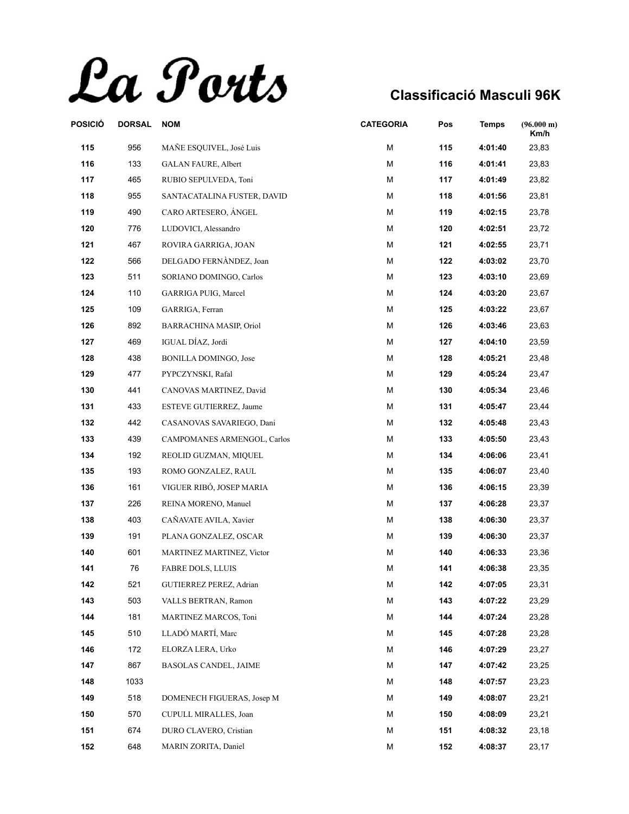La Ports

| <b>DORSAL</b> | <b>NOM</b>                   | <b>CATEGORIA</b> | Pos | Temps   | (96.000 m)<br>Km/h |
|---------------|------------------------------|------------------|-----|---------|--------------------|
| 956           | MAÑE ESQUIVEL, José Luis     | M                | 115 | 4:01:40 | 23,83              |
| 133           | <b>GALAN FAURE, Albert</b>   | M                | 116 | 4:01:41 | 23,83              |
| 465           | RUBIO SEPULVEDA, Toni        | M                | 117 | 4:01:49 | 23,82              |
| 955           | SANTACATALINA FUSTER, DAVID  | М                | 118 | 4:01:56 | 23,81              |
| 490           | CARO ARTESERO, ÁNGEL         | M                | 119 | 4:02:15 | 23,78              |
| 776           | LUDOVICI, Alessandro         | M                | 120 | 4:02:51 | 23,72              |
| 467           | ROVIRA GARRIGA, JOAN         | M                | 121 | 4:02:55 | 23,71              |
| 566           | DELGADO FERNÀNDEZ, Joan      | М                | 122 | 4:03:02 | 23,70              |
| 511           | SORIANO DOMINGO, Carlos      | M                | 123 | 4:03:10 | 23,69              |
| 110           | GARRIGA PUIG, Marcel         | M                | 124 | 4:03:20 | 23,67              |
| 109           | GARRIGA, Ferran              | M                | 125 | 4:03:22 | 23,67              |
| 892           | BARRACHINA MASIP, Oriol      | М                | 126 | 4:03:46 | 23,63              |
| 469           | IGUAL DÍAZ, Jordi            | M                | 127 | 4:04:10 | 23,59              |
| 438           | <b>BONILLA DOMINGO, Jose</b> | М                | 128 | 4:05:21 | 23,48              |
| 477           | PYPCZYNSKI, Rafal            | M                | 129 | 4:05:24 | 23,47              |
| 441           | CANOVAS MARTINEZ, David      | M                | 130 | 4:05:34 | 23,46              |
| 433           | ESTEVE GUTIERREZ, Jaume      | M                | 131 | 4:05:47 | 23,44              |
| 442           | CASANOVAS SAVARIEGO, Dani    | M                | 132 | 4:05:48 | 23,43              |
| 439           | CAMPOMANES ARMENGOL, Carlos  | M                | 133 | 4:05:50 | 23,43              |
| 192           | REOLID GUZMAN, MIQUEL        | М                | 134 | 4:06:06 | 23,41              |
| 193           | ROMO GONZALEZ, RAUL          | M                | 135 | 4:06:07 | 23,40              |
| 161           | VIGUER RIBÓ, JOSEP MARIA     | M                | 136 | 4:06:15 | 23,39              |
| 226           | REINA MORENO, Manuel         | M                | 137 | 4:06:28 | 23,37              |
| 403           | CAÑAVATE AVILA, Xavier       | М                | 138 | 4:06:30 | 23,37              |
| 191           | PLANA GONZALEZ, OSCAR        | M                | 139 | 4:06:30 | 23,37              |
| 601           | MARTINEZ MARTINEZ, Victor    | M                | 140 | 4:06:33 | 23,36              |
| 76            | <b>FABRE DOLS, LLUIS</b>     | M                | 141 | 4:06:38 | 23,35              |
| 521           | GUTIERREZ PEREZ, Adrian      | М                | 142 | 4:07:05 | 23,31              |
| 503           | VALLS BERTRAN, Ramon         | M                | 143 | 4:07:22 | 23,29              |
| 181           | MARTINEZ MARCOS, Toni        | M                | 144 | 4:07:24 | 23,28              |
| 510           | LLADÓ MARTÍ, Marc            | M                | 145 | 4:07:28 | 23,28              |
| 172           | ELORZA LERA, Urko            | М                | 146 | 4:07:29 | 23,27              |
| 867           | BASOLAS CANDEL, JAIME        | М                | 147 | 4:07:42 | 23,25              |
| 1033          |                              | M                | 148 | 4:07:57 | 23,23              |
| 518           | DOMENECH FIGUERAS, Josep M   | M                | 149 | 4:08:07 | 23,21              |
| 570           | CUPULL MIRALLES, Joan        | м                | 150 | 4:08:09 | 23,21              |
| 674           | DURO CLAVERO, Cristian       | M                | 151 | 4:08:32 | 23,18              |
| 648           | MARIN ZORITA, Daniel         | М                | 152 | 4:08:37 | 23,17              |
|               |                              |                  |     |         |                    |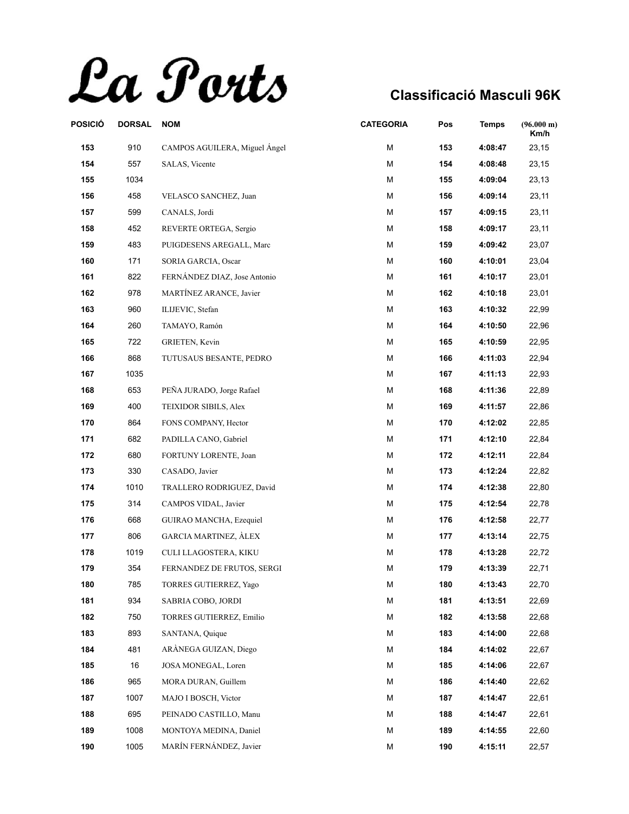La Ports

| POSICIÓ | <b>DORSAL</b> | <b>NOM</b>                    | <b>CATEGORIA</b> | Pos | <b>Temps</b> | $(96.000 \text{ m})$<br>Km/h |
|---------|---------------|-------------------------------|------------------|-----|--------------|------------------------------|
| 153     | 910           | CAMPOS AGUILERA, Miguel Ángel | M                | 153 | 4:08:47      | 23,15                        |
| 154     | 557           | SALAS, Vicente                | М                | 154 | 4:08:48      | 23,15                        |
| 155     | 1034          |                               | M                | 155 | 4:09:04      | 23,13                        |
| 156     | 458           | VELASCO SANCHEZ, Juan         | M                | 156 | 4:09:14      | 23,11                        |
| 157     | 599           | CANALS, Jordi                 | М                | 157 | 4:09:15      | 23,11                        |
| 158     | 452           | REVERTE ORTEGA, Sergio        | М                | 158 | 4:09:17      | 23,11                        |
| 159     | 483           | PUIGDESENS AREGALL, Marc      | M                | 159 | 4:09:42      | 23,07                        |
| 160     | 171           | SORIA GARCIA, Oscar           | М                | 160 | 4:10:01      | 23,04                        |
| 161     | 822           | FERNÁNDEZ DIAZ, Jose Antonio  | М                | 161 | 4:10:17      | 23,01                        |
| 162     | 978           | MARTÍNEZ ARANCE, Javier       | М                | 162 | 4:10:18      | 23,01                        |
| 163     | 960           | ILIJEVIC, Stefan              | M                | 163 | 4:10:32      | 22,99                        |
| 164     | 260           | TAMAYO, Ramón                 | М                | 164 | 4:10:50      | 22,96                        |
| 165     | 722           | GRIETEN, Kevin                | М                | 165 | 4:10:59      | 22,95                        |
| 166     | 868           | TUTUSAUS BESANTE, PEDRO       | M                | 166 | 4:11:03      | 22,94                        |
| 167     | 1035          |                               | Μ                | 167 | 4:11:13      | 22,93                        |
| 168     | 653           | PEÑA JURADO, Jorge Rafael     | M                | 168 | 4:11:36      | 22,89                        |
| 169     | 400           | <b>TEIXIDOR SIBILS, Alex</b>  | М                | 169 | 4:11:57      | 22,86                        |
| 170     | 864           | FONS COMPANY, Hector          | М                | 170 | 4:12:02      | 22,85                        |
| 171     | 682           | PADILLA CANO, Gabriel         | M                | 171 | 4:12:10      | 22,84                        |
| 172     | 680           | FORTUNY LORENTE, Joan         | M                | 172 | 4:12:11      | 22,84                        |
| 173     | 330           | CASADO, Javier                | Μ                | 173 | 4:12:24      | 22,82                        |
| 174     | 1010          | TRALLERO RODRIGUEZ, David     | М                | 174 | 4:12:38      | 22,80                        |
| 175     | 314           | CAMPOS VIDAL, Javier          | М                | 175 | 4:12:54      | 22,78                        |
| 176     | 668           | GUIRAO MANCHA, Ezequiel       | M                | 176 | 4:12:58      | 22,77                        |
| 177     | 806           | <b>GARCIA MARTINEZ, ÀLEX</b>  | М                | 177 | 4:13:14      | 22,75                        |
| 178     | 1019          | CULI LLAGOSTERA, KIKU         | M                | 178 | 4:13:28      | 22,72                        |
| 179     | 354           | FERNANDEZ DE FRUTOS, SERGI    | М                | 179 | 4:13:39      | 22,71                        |
| 180     | 785           | TORRES GUTIERREZ, Yago        | М                | 180 | 4:13:43      | 22,70                        |
| 181     | 934           | SABRIA COBO, JORDI            | M                | 181 | 4:13:51      | 22,69                        |
| 182     | 750           | TORRES GUTIERREZ, Emilio      | М                | 182 | 4:13:58      | 22,68                        |
| 183     | 893           | SANTANA, Quique               | M                | 183 | 4:14:00      | 22,68                        |
| 184     | 481           | ARÀNEGA GUIZAN, Diego         | M                | 184 | 4:14:02      | 22,67                        |
| 185     | 16            | JOSA MONEGAL, Loren           | М                | 185 | 4:14:06      | 22,67                        |
| 186     | 965           | MORA DURAN, Guillem           | М                | 186 | 4:14:40      | 22,62                        |
| 187     | 1007          | MAJO I BOSCH, Victor          | М                | 187 | 4:14:47      | 22,61                        |
| 188     | 695           | PEINADO CASTILLO, Manu        | М                | 188 | 4:14:47      | 22,61                        |
| 189     | 1008          | MONTOYA MEDINA, Daniel        | М                | 189 | 4:14:55      | 22,60                        |
| 190     | 1005          | MARÍN FERNÁNDEZ, Javier       | М                | 190 | 4:15:11      | 22,57                        |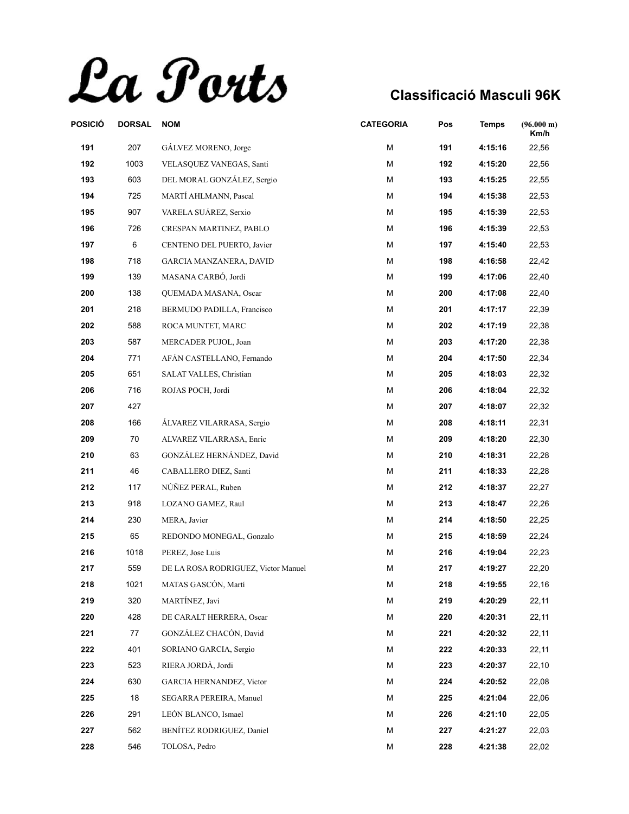La Ports

| POSICIÓ | <b>DORSAL</b> | <b>NOM</b>                          | <b>CATEGORIA</b> | Pos | <b>Temps</b> | (96.000 m)<br>Km/h |
|---------|---------------|-------------------------------------|------------------|-----|--------------|--------------------|
| 191     | 207           | GÁLVEZ MORENO, Jorge                | M                | 191 | 4:15:16      | 22,56              |
| 192     | 1003          | VELASQUEZ VANEGAS, Santi            | M                | 192 | 4:15:20      | 22,56              |
| 193     | 603           | DEL MORAL GONZÁLEZ, Sergio          | М                | 193 | 4:15:25      | 22,55              |
| 194     | 725           | MARTÍ AHLMANN, Pascal               | М                | 194 | 4:15:38      | 22,53              |
| 195     | 907           | VARELA SUÁREZ, Serxio               | M                | 195 | 4:15:39      | 22,53              |
| 196     | 726           | CRESPAN MARTINEZ, PABLO             | M                | 196 | 4:15:39      | 22,53              |
| 197     | 6             | CENTENO DEL PUERTO, Javier          | М                | 197 | 4:15:40      | 22,53              |
| 198     | 718           | GARCIA MANZANERA, DAVID             | M                | 198 | 4:16:58      | 22,42              |
| 199     | 139           | MASANA CARBÓ, Jordi                 | М                | 199 | 4:17:06      | 22,40              |
| 200     | 138           | QUEMADA MASANA, Oscar               | M                | 200 | 4:17:08      | 22,40              |
| 201     | 218           | BERMUDO PADILLA, Francisco          | М                | 201 | 4:17:17      | 22,39              |
| 202     | 588           | ROCA MUNTET, MARC                   | M                | 202 | 4:17:19      | 22,38              |
| 203     | 587           | MERCADER PUJOL, Joan                | M                | 203 | 4:17:20      | 22,38              |
| 204     | 771           | AFÁN CASTELLANO, Fernando           | M                | 204 | 4:17:50      | 22,34              |
| 205     | 651           | SALAT VALLES, Christian             | M                | 205 | 4:18:03      | 22,32              |
| 206     | 716           | ROJAS POCH, Jordi                   | M                | 206 | 4:18:04      | 22,32              |
| 207     | 427           |                                     | M                | 207 | 4:18:07      | 22,32              |
| 208     | 166           | ÁLVAREZ VILARRASA, Sergio           | M                | 208 | 4:18:11      | 22,31              |
| 209     | 70            | ALVAREZ VILARRASA, Enric            | M                | 209 | 4:18:20      | 22,30              |
| 210     | 63            | GONZÁLEZ HERNÁNDEZ, David           | M                | 210 | 4:18:31      | 22,28              |
| 211     | 46            | CABALLERO DIEZ, Santi               | M                | 211 | 4:18:33      | 22,28              |
| 212     | 117           | NÚÑEZ PERAL, Ruben                  | M                | 212 | 4:18:37      | 22,27              |
| 213     | 918           | LOZANO GAMEZ, Raul                  | М                | 213 | 4:18:47      | 22,26              |
| 214     | 230           | MERA, Javier                        | M                | 214 | 4:18:50      | 22,25              |
| 215     | 65            | REDONDO MONEGAL, Gonzalo            | М                | 215 | 4:18:59      | 22,24              |
| 216     | 1018          | PEREZ, Jose Luis                    | M                | 216 | 4:19:04      | 22,23              |
| 217     | 559           | DE LA ROSA RODRIGUEZ, Victor Manuel | М                | 217 | 4:19:27      | 22,20              |
| 218     | 1021          | MATAS GASCÓN, Martí                 | M                | 218 | 4:19:55      | 22,16              |
| 219     | 320           | MARTÍNEZ, Javi                      | M                | 219 | 4:20:29      | 22,11              |
| 220     | 428           | DE CARALT HERRERA, Oscar            | M                | 220 | 4:20:31      | 22,11              |
| 221     | 77            | GONZÁLEZ CHACÓN, David              | М                | 221 | 4:20:32      | 22,11              |
| 222     | 401           | SORIANO GARCIA, Sergio              | M                | 222 | 4:20:33      | 22,11              |
| 223     | 523           | RIERA JORDÀ, Jordi                  | М                | 223 | 4:20:37      | 22,10              |
| 224     | 630           | <b>GARCIA HERNANDEZ, Victor</b>     | M                | 224 | 4:20:52      | 22,08              |
| 225     | 18            | SEGARRA PEREIRA, Manuel             | M                | 225 | 4:21:04      | 22,06              |
| 226     | 291           | LEÓN BLANCO, Ismael                 | М                | 226 | 4:21:10      | 22,05              |
| 227     | 562           | BENÍTEZ RODRIGUEZ, Daniel           | M                | 227 | 4:21:27      | 22,03              |
| 228     | 546           | TOLOSA, Pedro                       | M                | 228 | 4:21:38      | 22,02              |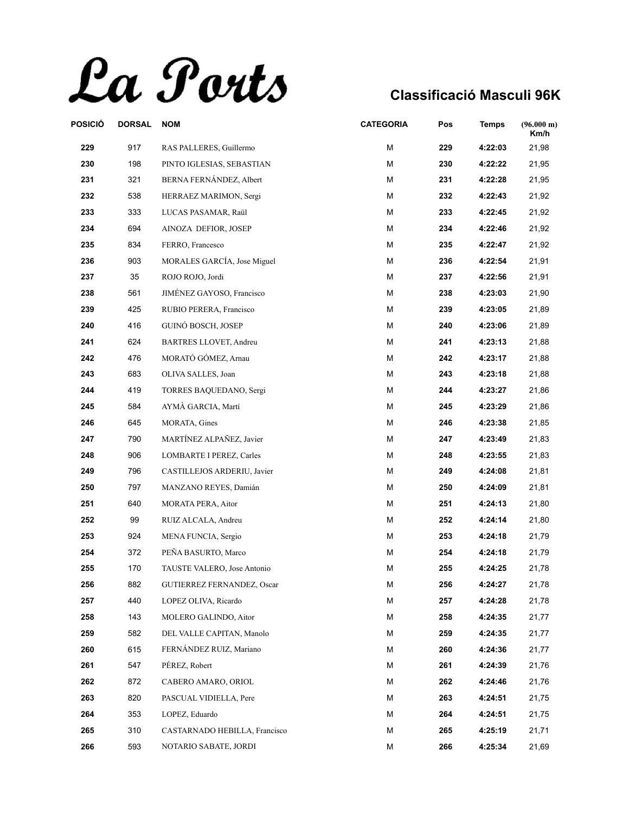La Ports

| POSICIÓ | <b>DORSAL</b> | <b>NOM</b>                      | <b>CATEGORIA</b> | Pos | <b>Temps</b> | (96.000 m)<br>Km/h |
|---------|---------------|---------------------------------|------------------|-----|--------------|--------------------|
| 229     | 917           | RAS PALLERES, Guillermo         | M                | 229 | 4:22:03      | 21,98              |
| 230     | 198           | PINTO IGLESIAS, SEBASTIAN       | M                | 230 | 4:22:22      | 21,95              |
| 231     | 321           | BERNA FERNÁNDEZ, Albert         | М                | 231 | 4:22:28      | 21,95              |
| 232     | 538           | HERRAEZ MARIMON, Sergi          | М                | 232 | 4:22:43      | 21,92              |
| 233     | 333           | LUCAS PASAMAR, Raül             | М                | 233 | 4:22:45      | 21,92              |
| 234     | 694           | AINOZA DEFIOR, JOSEP            | M                | 234 | 4:22:46      | 21,92              |
| 235     | 834           | FERRO, Francesco                | М                | 235 | 4:22:47      | 21,92              |
| 236     | 903           | MORALES GARCÍA, Jose Miguel     | M                | 236 | 4:22:54      | 21,91              |
| 237     | 35            | ROJO ROJO, Jordi                | М                | 237 | 4:22:56      | 21,91              |
| 238     | 561           | JIMÉNEZ GAYOSO, Francisco       | M                | 238 | 4:23:03      | 21,90              |
| 239     | 425           | RUBIO PERERA, Francisco         | М                | 239 | 4:23:05      | 21,89              |
| 240     | 416           | GUINÓ BOSCH, JOSEP              | M                | 240 | 4:23:06      | 21,89              |
| 241     | 624           | BARTRES LLOVET, Andreu          | M                | 241 | 4:23:13      | 21,88              |
| 242     | 476           | MORATÓ GÓMEZ, Arnau             | М                | 242 | 4:23:17      | 21,88              |
| 243     | 683           | OLIVA SALLES, Joan              | М                | 243 | 4:23:18      | 21,88              |
| 244     | 419           | TORRES BAQUEDANO, Sergi         | M                | 244 | 4:23:27      | 21,86              |
| 245     | 584           | AYMÀ GARCIA, Martí              | М                | 245 | 4:23:29      | 21,86              |
| 246     | 645           | MORATA, Gines                   | M                | 246 | 4:23:38      | 21,85              |
| 247     | 790           | MARTÍNEZ ALPAÑEZ, Javier        | M                | 247 | 4:23:49      | 21,83              |
| 248     | 906           | <b>LOMBARTE I PEREZ, Carles</b> | M                | 248 | 4:23:55      | 21,83              |
| 249     | 796           | CASTILLEJOS ARDERIU, Javier     | М                | 249 | 4:24:08      | 21,81              |
| 250     | 797           | MANZANO REYES, Damián           | M                | 250 | 4:24:09      | 21,81              |
| 251     | 640           | MORATA PERA, Aitor              | М                | 251 | 4:24:13      | 21,80              |
| 252     | 99            | RUIZ ALCALA, Andreu             | M                | 252 | 4:24:14      | 21,80              |
| 253     | 924           | MENA FUNCIA, Sergio             | М                | 253 | 4:24:18      | 21,79              |
| 254     | 372           | PEÑA BASURTO, Marco             | M                | 254 | 4:24:18      | 21,79              |
| 255     | 170           | TAUSTE VALERO, Jose Antonio     | М                | 255 | 4:24:25      | 21,78              |
| 256     | 882           | GUTIERREZ FERNANDEZ, Oscar      | M                | 256 | 4:24:27      | 21,78              |
| 257     | 440           | LOPEZ OLIVA, Ricardo            | M                | 257 | 4:24:28      | 21,78              |
| 258     | 143           | MOLERO GALINDO, Aitor           | M                | 258 | 4:24:35      | 21,77              |
| 259     | 582           | DEL VALLE CAPITAN, Manolo       | М                | 259 | 4:24:35      | 21,77              |
| 260     | 615           | FERNÁNDEZ RUIZ, Mariano         | М                | 260 | 4:24:36      | 21,77              |
| 261     | 547           | PÉREZ, Robert                   | М                | 261 | 4:24:39      | 21,76              |
| 262     | 872           | CABERO AMARO, ORIOL             | M                | 262 | 4:24:46      | 21,76              |
| 263     | 820           | PASCUAL VIDIELLA, Pere          | М                | 263 | 4:24:51      | 21,75              |
| 264     | 353           | LOPEZ, Eduardo                  | М                | 264 | 4:24:51      | 21,75              |
| 265     | 310           | CASTARNADO HEBILLA, Francisco   | М                | 265 | 4:25:19      | 21,71              |
| 266     | 593           | NOTARIO SABATE, JORDI           | М                | 266 | 4:25:34      | 21,69              |
|         |               |                                 |                  |     |              |                    |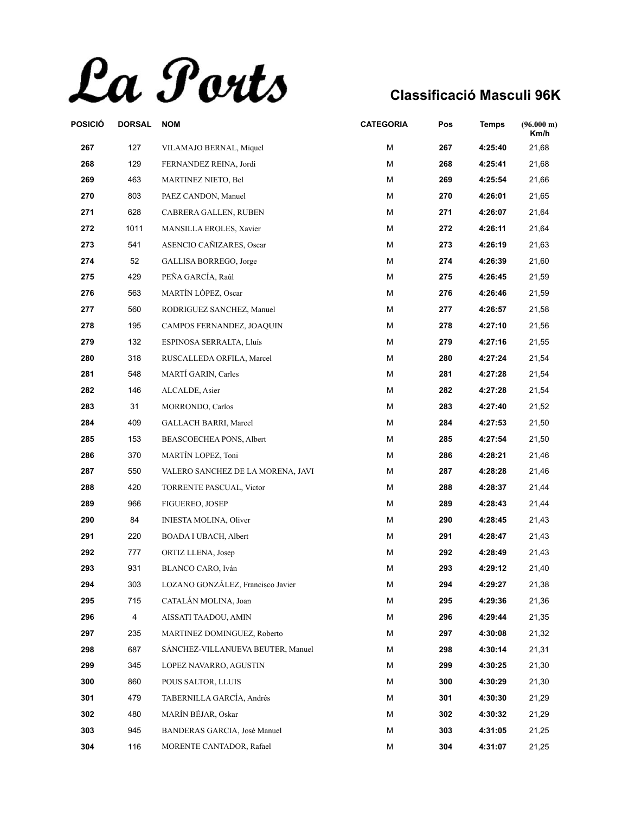La Ports

| POSICIÓ | <b>DORSAL</b>  | <b>NOM</b>                        | <b>CATEGORIA</b> | Pos | <b>Temps</b> | (96.000 m)<br>Km/h |
|---------|----------------|-----------------------------------|------------------|-----|--------------|--------------------|
| 267     | 127            | VILAMAJO BERNAL, Miquel           | M                | 267 | 4:25:40      | 21,68              |
| 268     | 129            | FERNANDEZ REINA, Jordi            | М                | 268 | 4:25:41      | 21,68              |
| 269     | 463            | MARTINEZ NIETO, Bel               | М                | 269 | 4:25:54      | 21,66              |
| 270     | 803            | PAEZ CANDON, Manuel               | М                | 270 | 4:26:01      | 21,65              |
| 271     | 628            | CABRERA GALLEN, RUBEN             | M                | 271 | 4:26:07      | 21,64              |
| 272     | 1011           | MANSILLA EROLES, Xavier           | M                | 272 | 4:26:11      | 21,64              |
| 273     | 541            | ASENCIO CAÑIZARES, Oscar          | М                | 273 | 4:26:19      | 21,63              |
| 274     | 52             | GALLISA BORREGO, Jorge            | М                | 274 | 4:26:39      | 21,60              |
| 275     | 429            | PEÑA GARCÍA, Raúl                 | M                | 275 | 4:26:45      | 21,59              |
| 276     | 563            | MARTÍN LÓPEZ, Oscar               | М                | 276 | 4:26:46      | 21,59              |
| 277     | 560            | RODRIGUEZ SANCHEZ, Manuel         | M                | 277 | 4:26:57      | 21,58              |
| 278     | 195            | CAMPOS FERNANDEZ, JOAQUIN         | М                | 278 | 4:27:10      | 21,56              |
| 279     | 132            | ESPINOSA SERRALTA, Lluís          | М                | 279 | 4:27:16      | 21,55              |
| 280     | 318            | RUSCALLEDA ORFILA, Marcel         | м                | 280 | 4:27:24      | 21,54              |
| 281     | 548            | MARTÍ GARIN, Carles               | M                | 281 | 4:27:28      | 21,54              |
| 282     | 146            | ALCALDE, Asier                    | M                | 282 | 4:27:28      | 21,54              |
| 283     | 31             | MORRONDO, Carlos                  | M                | 283 | 4:27:40      | 21,52              |
| 284     | 409            | <b>GALLACH BARRI, Marcel</b>      | М                | 284 | 4:27:53      | 21,50              |
| 285     | 153            | BEASCOECHEA PONS, Albert          | M                | 285 | 4:27:54      | 21,50              |
| 286     | 370            | MARTÍN LOPEZ, Toni                | М                | 286 | 4:28:21      | 21,46              |
| 287     | 550            | VALERO SANCHEZ DE LA MORENA, JAVI | M                | 287 | 4:28:28      | 21,46              |
| 288     | 420            | TORRENTE PASCUAL, Victor          | M                | 288 | 4:28:37      | 21,44              |
| 289     | 966            | FIGUEREO, JOSEP                   | М                | 289 | 4:28:43      | 21,44              |
| 290     | 84             | <b>INIESTA MOLINA, Oliver</b>     | М                | 290 | 4:28:45      | 21,43              |
| 291     | 220            | BOADA I UBACH, Albert             | M                | 291 | 4:28:47      | 21,43              |
| 292     | 777            | ORTIZ LLENA, Josep                | M                | 292 | 4:28:49      | 21,43              |
| 293     | 931            | BLANCO CARO, Iván                 | М                | 293 | 4:29:12      | 21,40              |
| 294     | 303            | LOZANO GONZÁLEZ, Francisco Javier | М                | 294 | 4:29:27      | 21,38              |
| 295     | 715            | CATALAN MOLINA, Joan              | M                | 295 | 4:29:36      | 21,36              |
| 296     | $\overline{4}$ | AISSATI TAADOU, AMIN              | M                | 296 | 4:29:44      | 21,35              |
| 297     | 235            | MARTINEZ DOMINGUEZ, Roberto       | М                | 297 | 4:30:08      | 21,32              |
| 298     | 687            | SANCHEZ-VILLANUEVA BEUTER, Manuel | М                | 298 | 4:30:14      | 21,31              |
| 299     | 345            | LOPEZ NAVARRO, AGUSTIN            | М                | 299 | 4:30:25      | 21,30              |
| 300     | 860            | POUS SALTOR, LLUIS                | М                | 300 | 4:30:29      | 21,30              |
| 301     | 479            | TABERNILLA GARCÍA, Andrés         | М                | 301 | 4:30:30      | 21,29              |
| 302     | 480            | MARÍN BÉJAR, Oskar                | М                | 302 | 4:30:32      | 21,29              |
| 303     | 945            | BANDERAS GARCIA, José Manuel      | М                | 303 | 4:31:05      | 21,25              |
| 304     | 116            | MORENTE CANTADOR, Rafael          | М                | 304 | 4:31:07      | 21,25              |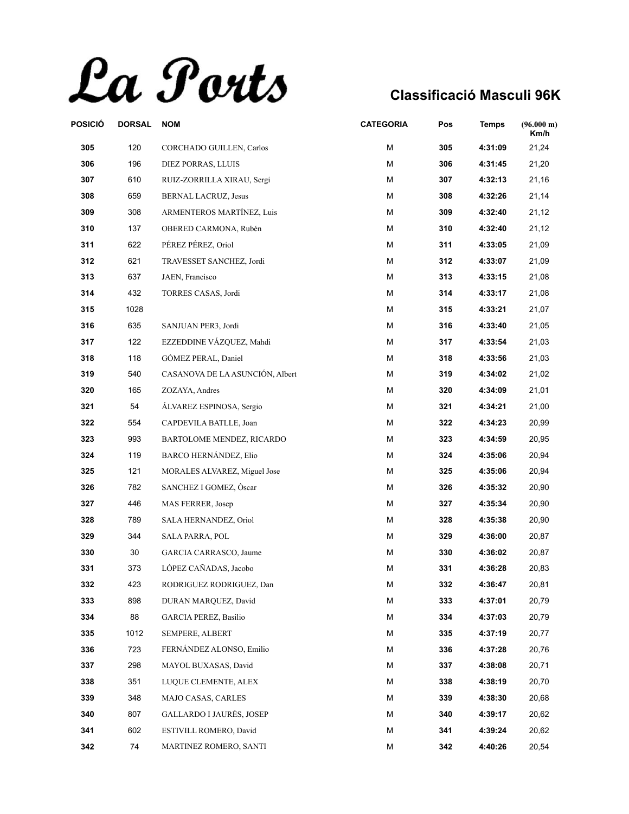La Ports

| POSICIÓ | <b>DORSAL</b> | <b>NOM</b>                      | <b>CATEGORIA</b> | Pos | <b>Temps</b> | $(96.000 \text{ m})$<br>Km/h |
|---------|---------------|---------------------------------|------------------|-----|--------------|------------------------------|
| 305     | 120           | CORCHADO GUILLEN, Carlos        | M                | 305 | 4:31:09      | 21,24                        |
| 306     | 196           | DIEZ PORRAS, LLUIS              | М                | 306 | 4:31:45      | 21,20                        |
| 307     | 610           | RUIZ-ZORRILLA XIRAU, Sergi      | M                | 307 | 4:32:13      | 21,16                        |
| 308     | 659           | BERNAL LACRUZ, Jesus            | M                | 308 | 4:32:26      | 21,14                        |
| 309     | 308           | ARMENTEROS MARTÍNEZ, Luis       | M                | 309 | 4:32:40      | 21,12                        |
| 310     | 137           | OBERED CARMONA, Rubén           | M                | 310 | 4:32:40      | 21,12                        |
| 311     | 622           | PÉREZ PÉREZ, Oriol              | М                | 311 | 4:33:05      | 21,09                        |
| 312     | 621           | TRAVESSET SANCHEZ, Jordi        | M                | 312 | 4:33:07      | 21,09                        |
| 313     | 637           | JAEN, Francisco                 | M                | 313 | 4:33:15      | 21,08                        |
| 314     | 432           | TORRES CASAS, Jordi             | М                | 314 | 4:33:17      | 21,08                        |
| 315     | 1028          |                                 | М                | 315 | 4:33:21      | 21,07                        |
| 316     | 635           | SANJUAN PER3, Jordi             | M                | 316 | 4:33:40      | 21,05                        |
| 317     | 122           | EZZEDDINE VÁZQUEZ, Mahdi        | М                | 317 | 4:33:54      | 21,03                        |
| 318     | 118           | GÓMEZ PERAL, Daniel             | M                | 318 | 4:33:56      | 21,03                        |
| 319     | 540           | CASANOVA DE LA ASUNCIÓN, Albert | M                | 319 | 4:34:02      | 21,02                        |
| 320     | 165           | ZOZAYA, Andres                  | M                | 320 | 4:34:09      | 21,01                        |
| 321     | 54            | ÁLVAREZ ESPINOSA, Sergio        | М                | 321 | 4:34:21      | 21,00                        |
| 322     | 554           | CAPDEVILA BATLLE, Joan          | M                | 322 | 4:34:23      | 20,99                        |
| 323     | 993           | BARTOLOME MENDEZ, RICARDO       | M                | 323 | 4:34:59      | 20,95                        |
| 324     | 119           | BARCO HERNÁNDEZ, Elio           | M                | 324 | 4:35:06      | 20,94                        |
| 325     | 121           | MORALES ALVAREZ, Miguel Jose    | М                | 325 | 4:35:06      | 20,94                        |
| 326     | 782           | SANCHEZ I GOMEZ, Oscar          | M                | 326 | 4:35:32      | 20,90                        |
| 327     | 446           | MAS FERRER, Josep               | М                | 327 | 4:35:34      | 20,90                        |
| 328     | 789           | SALA HERNANDEZ, Oriol           | M                | 328 | 4:35:38      | 20,90                        |
| 329     | 344           | <b>SALA PARRA, POL</b>          | M                | 329 | 4:36:00      | 20,87                        |
| 330     | 30            | GARCIA CARRASCO, Jaume          | M                | 330 | 4:36:02      | 20,87                        |
| 331     | 373           | LÓPEZ CAÑADAS, Jacobo           | M                | 331 | 4:36:28      | 20,83                        |
| 332     | 423           | RODRIGUEZ RODRIGUEZ, Dan        | М                | 332 | 4:36:47      | 20,81                        |
| 333     | 898           | DURAN MARQUEZ, David            | M                | 333 | 4:37:01      | 20,79                        |
| 334     | 88            | <b>GARCIA PEREZ, Basilio</b>    | M                | 334 | 4:37:03      | 20,79                        |
| 335     | 1012          | SEMPERE, ALBERT                 | М                | 335 | 4:37:19      | 20,77                        |
| 336     | 723           | FERNÁNDEZ ALONSO, Emilio        | М                | 336 | 4:37:28      | 20,76                        |
| 337     | 298           | MAYOL BUXASAS, David            | М                | 337 | 4:38:08      | 20,71                        |
| 338     | 351           | LUQUE CLEMENTE, ALEX            | M                | 338 | 4:38:19      | 20,70                        |
| 339     | 348           | MAJO CASAS, CARLES              | М                | 339 | 4:38:30      | 20,68                        |
| 340     | 807           | <b>GALLARDO I JAURÉS, JOSEP</b> | М                | 340 | 4:39:17      | 20,62                        |
| 341     | 602           | ESTIVILL ROMERO, David          | М                | 341 | 4:39:24      | 20,62                        |
| 342     | 74            | MARTINEZ ROMERO, SANTI          | М                | 342 | 4:40:26      | 20,54                        |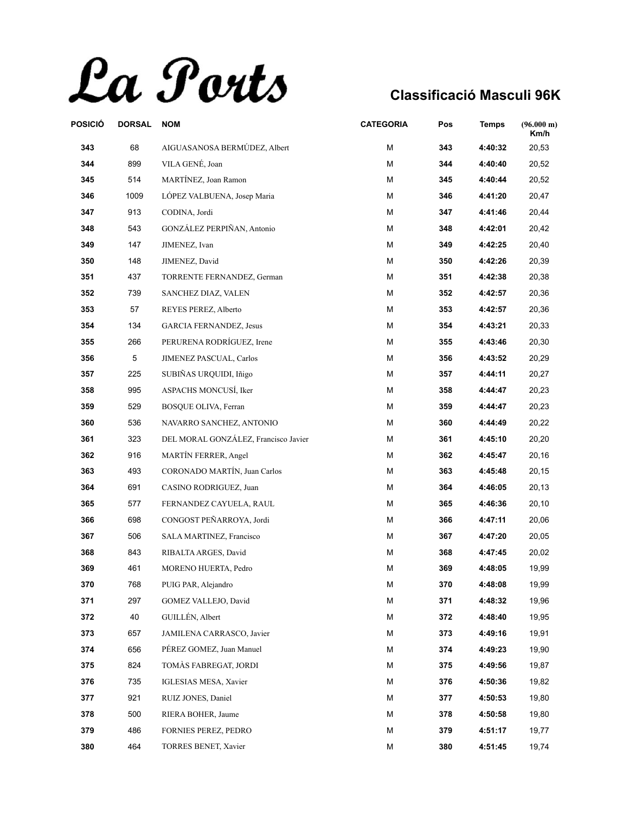La Ports

| POSICIÓ | <b>DORSAL</b> | <b>NOM</b>                           | <b>CATEGORIA</b> | Pos | <b>Temps</b> | (96.000 m)<br>Km/h |
|---------|---------------|--------------------------------------|------------------|-----|--------------|--------------------|
| 343     | 68            | AIGUASANOSA BERMÚDEZ, Albert         | M                | 343 | 4:40:32      | 20,53              |
| 344     | 899           | VILA GENÉ, Joan                      | Μ                | 344 | 4:40:40      | 20,52              |
| 345     | 514           | MARTÍNEZ, Joan Ramon                 | Μ                | 345 | 4:40:44      | 20,52              |
| 346     | 1009          | LÓPEZ VALBUENA, Josep Maria          | Μ                | 346 | 4:41:20      | 20,47              |
| 347     | 913           | CODINA, Jordi                        | Μ                | 347 | 4:41:46      | 20,44              |
| 348     | 543           | GONZÁLEZ PERPIÑAN, Antonio           | М                | 348 | 4:42:01      | 20,42              |
| 349     | 147           | JIMENEZ, Ivan                        | Μ                | 349 | 4:42:25      | 20,40              |
| 350     | 148           | JIMENEZ, David                       | Μ                | 350 | 4:42:26      | 20,39              |
| 351     | 437           | TORRENTE FERNANDEZ, German           | М                | 351 | 4:42:38      | 20,38              |
| 352     | 739           | SANCHEZ DIAZ, VALEN                  | Μ                | 352 | 4:42:57      | 20,36              |
| 353     | 57            | REYES PEREZ, Alberto                 | M                | 353 | 4:42:57      | 20,36              |
| 354     | 134           | <b>GARCIA FERNANDEZ, Jesus</b>       | Μ                | 354 | 4:43:21      | 20,33              |
| 355     | 266           | PERURENA RODRÍGUEZ, Irene            | Μ                | 355 | 4:43:46      | 20,30              |
| 356     | 5             | JIMENEZ PASCUAL, Carlos              | М                | 356 | 4:43:52      | 20,29              |
| 357     | 225           | SUBIÑAS URQUIDI, Iñigo               | M                | 357 | 4:44:11      | 20,27              |
| 358     | 995           | ASPACHS MONCUSÍ, Iker                | Μ                | 358 | 4:44:47      | 20,23              |
| 359     | 529           | <b>BOSOUE OLIVA, Ferran</b>          | Μ                | 359 | 4:44:47      | 20,23              |
| 360     | 536           | NAVARRO SANCHEZ, ANTONIO             | Μ                | 360 | 4:44:49      | 20,22              |
| 361     | 323           | DEL MORAL GONZÁLEZ, Francisco Javier | M                | 361 | 4:45:10      | 20,20              |
| 362     | 916           | MARTÍN FERRER, Angel                 | Μ                | 362 | 4:45:47      | 20,16              |
| 363     | 493           | CORONADO MARTÍN, Juan Carlos         | Μ                | 363 | 4:45:48      | 20,15              |
| 364     | 691           | CASINO RODRIGUEZ, Juan               | М                | 364 | 4:46:05      | 20,13              |
| 365     | 577           | FERNANDEZ CAYUELA, RAUL              | Μ                | 365 | 4:46:36      | 20,10              |
| 366     | 698           | CONGOST PEÑARROYA, Jordi             | Μ                | 366 | 4:47:11      | 20,06              |
| 367     | 506           | SALA MARTINEZ, Francisco             | М                | 367 | 4:47:20      | 20,05              |
| 368     | 843           | RIBALTA ARGES, David                 | Μ                | 368 | 4:47:45      | 20,02              |
| 369     | 461           | MORENO HUERTA, Pedro                 | М                | 369 | 4:48:05      | 19,99              |
| 370     | 768           | PUIG PAR, Alejandro                  | М                | 370 | 4:48:08      | 19,99              |
| 371     | 297           | GOMEZ VALLEJO, David                 | М                | 371 | 4:48:32      | 19,96              |
| 372     | 40            | GUILLÉN, Albert                      | М                | 372 | 4:48:40      | 19,95              |
| 373     | 657           | JAMILENA CARRASCO, Javier            | Μ                | 373 | 4:49:16      | 19,91              |
| 374     | 656           | PÉREZ GOMEZ, Juan Manuel             | Μ                | 374 | 4:49:23      | 19,90              |
| 375     | 824           | TOMÀS FABREGAT, JORDI                | М                | 375 | 4:49:56      | 19,87              |
| 376     | 735           | IGLESIAS MESA, Xavier                | Μ                | 376 | 4:50:36      | 19,82              |
| 377     | 921           | RUIZ JONES, Daniel                   | Μ                | 377 | 4:50:53      | 19,80              |
| 378     | 500           | RIERA BOHER, Jaume                   | Μ                | 378 | 4:50:58      | 19,80              |
| 379     | 486           | FORNIES PEREZ, PEDRO                 | Μ                | 379 | 4:51:17      | 19,77              |
| 380     | 464           | TORRES BENET, Xavier                 | М                | 380 | 4:51:45      | 19,74              |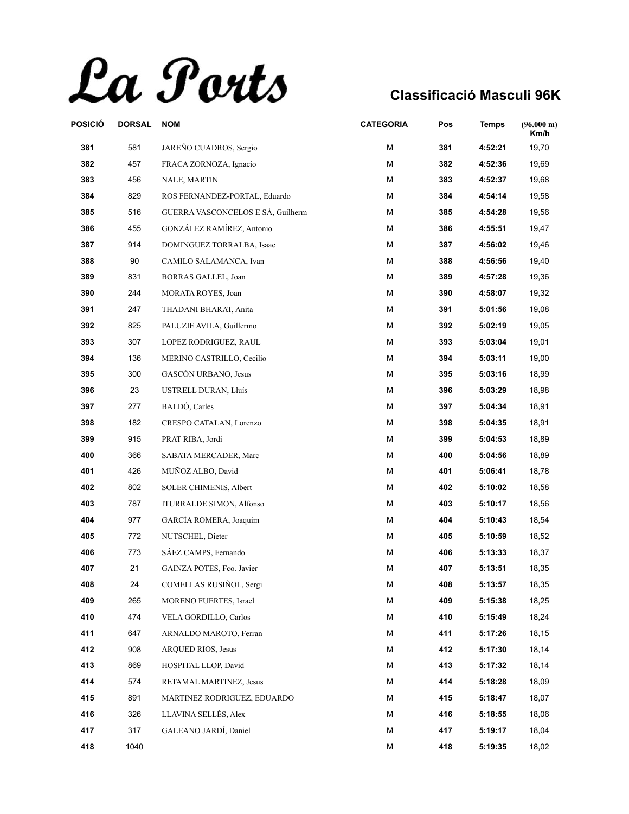La Ports

| POSICIÓ | <b>DORSAL</b> | <b>NOM</b>                        | <b>CATEGORIA</b> | Pos | <b>Temps</b> | $(96.000 \text{ m})$<br>Km/h |
|---------|---------------|-----------------------------------|------------------|-----|--------------|------------------------------|
| 381     | 581           | JAREÑO CUADROS, Sergio            | М                | 381 | 4:52:21      | 19,70                        |
| 382     | 457           | FRACA ZORNOZA, Ignacio            | Μ                | 382 | 4:52:36      | 19,69                        |
| 383     | 456           | NALE, MARTIN                      | Μ                | 383 | 4:52:37      | 19,68                        |
| 384     | 829           | ROS FERNANDEZ-PORTAL, Eduardo     | М                | 384 | 4:54:14      | 19,58                        |
| 385     | 516           | GUERRA VASCONCELOS E SÁ, Guilherm | Μ                | 385 | 4:54:28      | 19,56                        |
| 386     | 455           | GONZÁLEZ RAMÍREZ, Antonio         | М                | 386 | 4:55:51      | 19,47                        |
| 387     | 914           | DOMINGUEZ TORRALBA, Isaac         | Μ                | 387 | 4:56:02      | 19,46                        |
| 388     | 90            | CAMILO SALAMANCA, Ivan            | М                | 388 | 4:56:56      | 19,40                        |
| 389     | 831           | BORRAS GALLEL, Joan               | Μ                | 389 | 4:57:28      | 19,36                        |
| 390     | 244           | MORATA ROYES, Joan                | М                | 390 | 4:58:07      | 19,32                        |
| 391     | 247           | THADANI BHARAT, Anita             | М                | 391 | 5:01:56      | 19,08                        |
| 392     | 825           | PALUZIE AVILA, Guillermo          | М                | 392 | 5:02:19      | 19,05                        |
| 393     | 307           | LOPEZ RODRIGUEZ, RAUL             | Μ                | 393 | 5:03:04      | 19,01                        |
| 394     | 136           | MERINO CASTRILLO, Cecilio         | М                | 394 | 5:03:11      | 19,00                        |
| 395     | 300           | GASCÓN URBANO, Jesus              | М                | 395 | 5:03:16      | 18,99                        |
| 396     | 23            | USTRELL DURAN, Lluís              | М                | 396 | 5:03:29      | 18,98                        |
| 397     | 277           | BALDÓ, Carles                     | Μ                | 397 | 5:04:34      | 18,91                        |
| 398     | 182           | CRESPO CATALAN, Lorenzo           | Μ                | 398 | 5:04:35      | 18,91                        |
| 399     | 915           | PRAT RIBA, Jordi                  | М                | 399 | 5:04:53      | 18,89                        |
| 400     | 366           | SABATA MERCADER, Marc             | М                | 400 | 5:04:56      | 18,89                        |
| 401     | 426           | MUÑOZ ALBO, David                 | Μ                | 401 | 5:06:41      | 18,78                        |
| 402     | 802           | SOLER CHIMENIS, Albert            | М                | 402 | 5:10:02      | 18,58                        |
| 403     | 787           | ITURRALDE SIMON, Alfonso          | Μ                | 403 | 5:10:17      | 18,56                        |
| 404     | 977           | GARCÍA ROMERA, Joaquim            | М                | 404 | 5:10:43      | 18,54                        |
| 405     | 772           | NUTSCHEL, Dieter                  | М                | 405 | 5:10:59      | 18,52                        |
| 406     | 773           | SÁEZ CAMPS, Fernando              | Μ                | 406 | 5:13:33      | 18,37                        |
| 407     | 21            | GAINZA POTES, Fco. Javier         | Μ                | 407 | 5:13:51      | 18,35                        |
| 408     | 24            | COMELLAS RUSIÑOL, Sergi           | М                | 408 | 5:13:57      | 18,35                        |
| 409     | 265           | MORENO FUERTES, Israel            | Μ                | 409 | 5:15:38      | 18,25                        |
| 410     | 474           | VELA GORDILLO, Carlos             | М                | 410 | 5:15:49      | 18,24                        |
| 411     | 647           | ARNALDO MAROTO, Ferran            | Μ                | 411 | 5:17:26      | 18,15                        |
| 412     | 908           | <b>ARQUED RIOS, Jesus</b>         | М                | 412 | 5:17:30      | 18,14                        |
| 413     | 869           | HOSPITAL LLOP, David              | М                | 413 | 5:17:32      | 18,14                        |
| 414     | 574           | RETAMAL MARTINEZ, Jesus           | Μ                | 414 | 5:18:28      | 18,09                        |
| 415     | 891           | MARTINEZ RODRIGUEZ, EDUARDO       | Μ                | 415 | 5:18:47      | 18,07                        |
| 416     | 326           | LLAVINA SELLÉS, Alex              | Μ                | 416 | 5:18:55      | 18,06                        |
| 417     | 317           | GALEANO JARDÍ, Daniel             | м                | 417 | 5:19:17      | 18,04                        |
| 418     | 1040          |                                   | М                | 418 | 5:19:35      | 18,02                        |